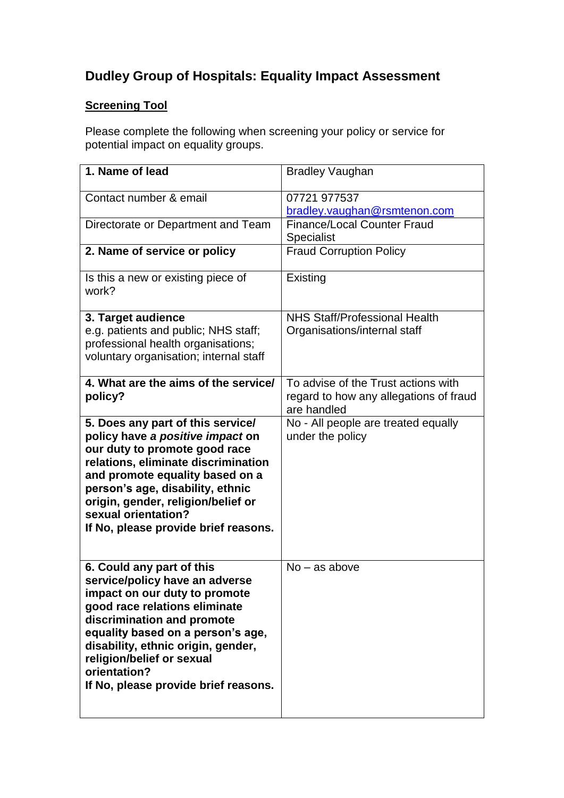# **Dudley Group of Hospitals: Equality Impact Assessment**

## **Screening Tool**

Please complete the following when screening your policy or service for potential impact on equality groups.

| 1. Name of lead                                                                                                                                                                                                                                                                                                             | <b>Bradley Vaughan</b>                                                                       |
|-----------------------------------------------------------------------------------------------------------------------------------------------------------------------------------------------------------------------------------------------------------------------------------------------------------------------------|----------------------------------------------------------------------------------------------|
| Contact number & email                                                                                                                                                                                                                                                                                                      | 07721 977537<br>bradley.vaughan@rsmtenon.com                                                 |
| Directorate or Department and Team                                                                                                                                                                                                                                                                                          | <b>Finance/Local Counter Fraud</b><br><b>Specialist</b>                                      |
| 2. Name of service or policy                                                                                                                                                                                                                                                                                                | <b>Fraud Corruption Policy</b>                                                               |
| Is this a new or existing piece of<br>work?                                                                                                                                                                                                                                                                                 | Existing                                                                                     |
| 3. Target audience<br>e.g. patients and public; NHS staff;<br>professional health organisations;<br>voluntary organisation; internal staff                                                                                                                                                                                  | <b>NHS Staff/Professional Health</b><br>Organisations/internal staff                         |
| 4. What are the aims of the service/<br>policy?                                                                                                                                                                                                                                                                             | To advise of the Trust actions with<br>regard to how any allegations of fraud<br>are handled |
| 5. Does any part of this service/<br>policy have a positive impact on<br>our duty to promote good race<br>relations, eliminate discrimination<br>and promote equality based on a<br>person's age, disability, ethnic<br>origin, gender, religion/belief or<br>sexual orientation?<br>If No, please provide brief reasons.   | No - All people are treated equally<br>under the policy                                      |
| 6. Could any part of this<br>service/policy have an adverse<br>impact on our duty to promote<br>good race relations eliminate<br>discrimination and promote<br>equality based on a person's age,<br>disability, ethnic origin, gender,<br>religion/belief or sexual<br>orientation?<br>If No, please provide brief reasons. | $No - as above$                                                                              |